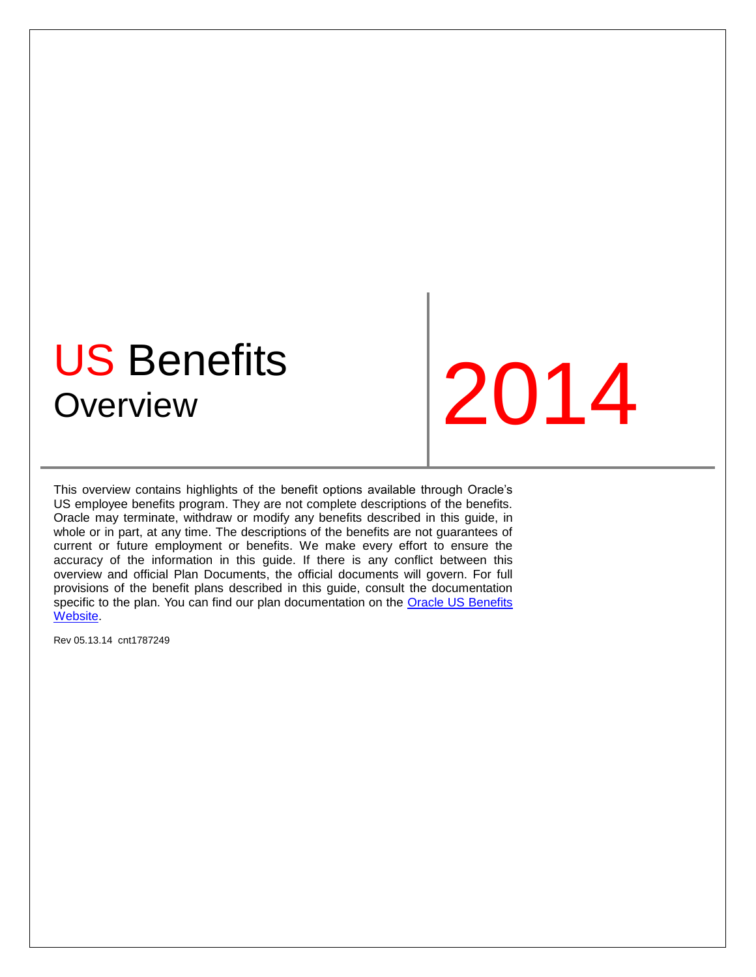# US Benefits US Derients 12014

This overview contains highlights of the benefit options available through Oracle's US employee benefits program. They are not complete descriptions of the benefits. Oracle may terminate, withdraw or modify any benefits described in this guide, in whole or in part, at any time. The descriptions of the benefits are not guarantees of current or future employment or benefits. We make every effort to ensure the accuracy of the information in this guide. If there is any conflict between this overview and official Plan Documents, the official documents will govern. For full provisions of the benefit plans described in this guide, consult the documentation specific to the plan. You can find our plan documentation on the [Oracle US Benefits](http://www.oraclebenefits.com/)  [Website.](http://www.oraclebenefits.com/)

Rev 05.13.14 cnt1787249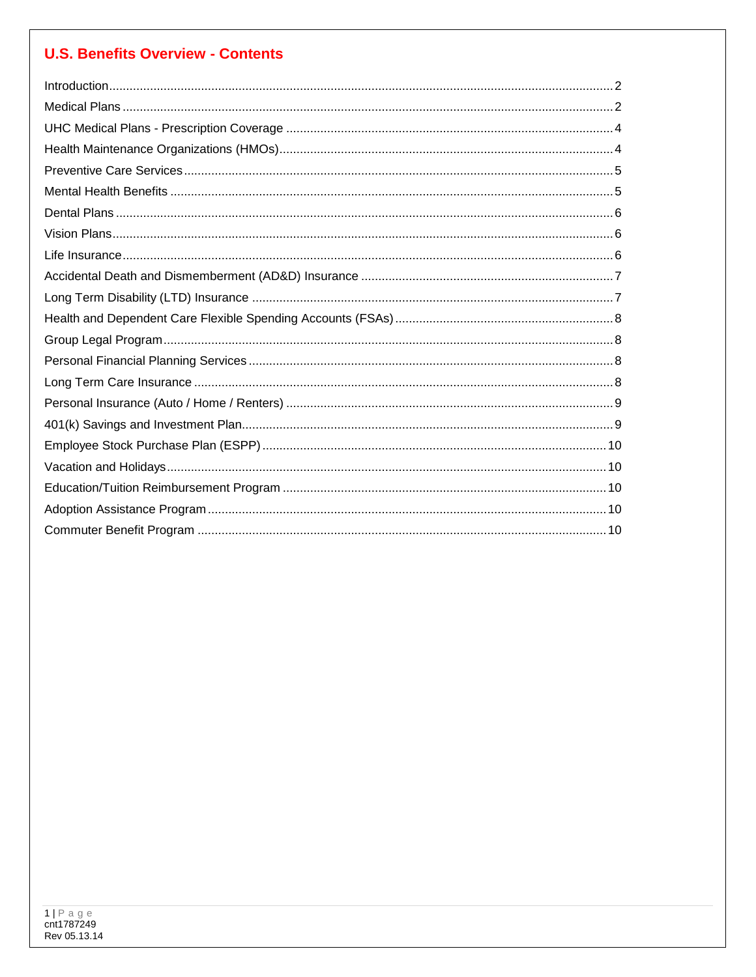# **U.S. Benefits Overview - Contents**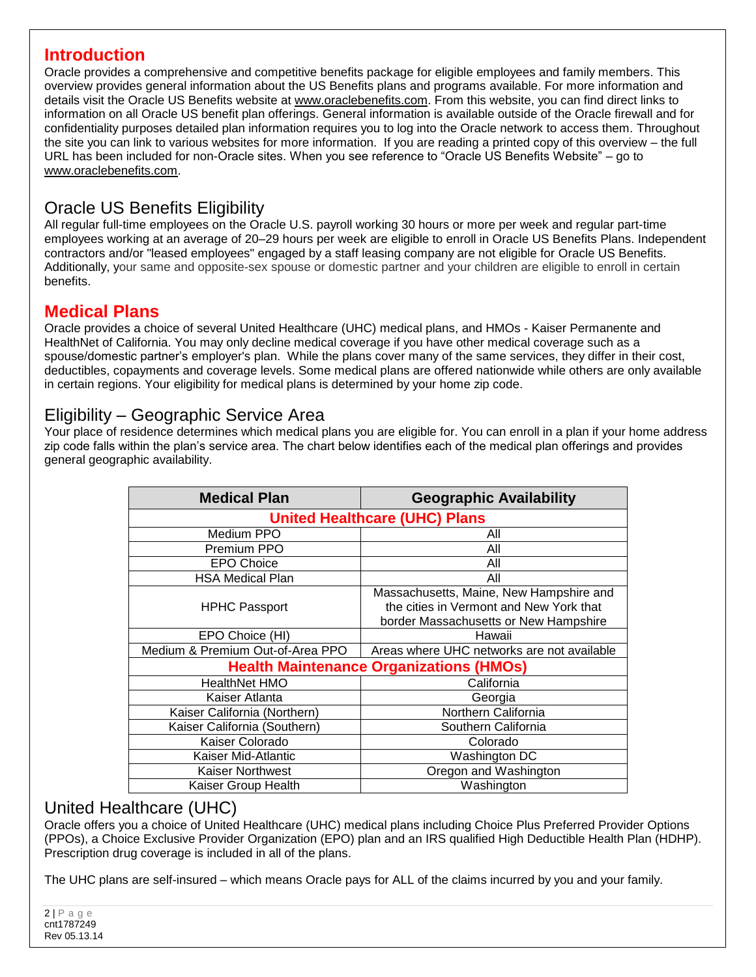# <span id="page-2-0"></span>**Introduction**

Oracle provides a comprehensive and competitive benefits package for eligible employees and family members. This overview provides general information about the US Benefits plans and programs available. For more information and details visit the Oracle US Benefits website at [www.oraclebenefits.com.](http://www.oraclebenefits.com/) From this website, you can find direct links to information on all Oracle US benefit plan offerings. General information is available outside of the Oracle firewall and for confidentiality purposes detailed plan information requires you to log into the Oracle network to access them. Throughout the site you can link to various websites for more information. If you are reading a printed copy of this overview – the full URL has been included for non-Oracle sites. When you see reference to "Oracle US Benefits Website" – go to [www.oraclebenefits.com.](http://www.oraclebenefits.com/)

# Oracle US Benefits Eligibility

All regular full-time employees on the Oracle U.S. payroll working 30 hours or more per week and regular part-time employees working at an average of 20–29 hours per week are eligible to enroll in Oracle US Benefits Plans. Independent contractors and/or "leased employees" engaged by a staff leasing company are not eligible for Oracle US Benefits. Additionally, your same and opposite-sex spouse or domestic partner and your children are eligible to enroll in certain benefits.

# <span id="page-2-1"></span>**Medical Plans**

Oracle provides a choice of several United Healthcare (UHC) medical plans, and HMOs - Kaiser Permanente and HealthNet of California. You may only decline medical coverage if you have other medical coverage such as a spouse/domestic partner's employer's plan. While the plans cover many of the same services, they differ in their cost, deductibles, copayments and coverage levels. Some medical plans are offered nationwide while others are only available in certain regions. Your eligibility for medical plans is determined by your home zip code.

# Eligibility – Geographic Service Area

Your place of residence determines which medical plans you are eligible for. You can enroll in a plan if your home address zip code falls within the plan's service area. The chart below identifies each of the medical plan offerings and provides general geographic availability.

| <b>Medical Plan</b>                            | <b>Geographic Availability</b>                                                                                              |  |
|------------------------------------------------|-----------------------------------------------------------------------------------------------------------------------------|--|
| <b>United Healthcare (UHC) Plans</b>           |                                                                                                                             |  |
| Medium PPO                                     | All                                                                                                                         |  |
| Premium PPO                                    | All                                                                                                                         |  |
| <b>EPO Choice</b>                              | All                                                                                                                         |  |
| <b>HSA Medical Plan</b>                        | All                                                                                                                         |  |
| <b>HPHC Passport</b>                           | Massachusetts, Maine, New Hampshire and<br>the cities in Vermont and New York that<br>border Massachusetts or New Hampshire |  |
| EPO Choice (HI)                                | Hawaii                                                                                                                      |  |
| Medium & Premium Out-of-Area PPO               | Areas where UHC networks are not available                                                                                  |  |
| <b>Health Maintenance Organizations (HMOs)</b> |                                                                                                                             |  |
| <b>HealthNet HMO</b>                           | California                                                                                                                  |  |
| Kaiser Atlanta                                 | Georgia                                                                                                                     |  |
| Kaiser California (Northern)                   | Northern California                                                                                                         |  |
| Kaiser California (Southern)                   | Southern California                                                                                                         |  |
| Kaiser Colorado                                | Colorado                                                                                                                    |  |
| Kaiser Mid-Atlantic                            | Washington DC                                                                                                               |  |
| <b>Kaiser Northwest</b>                        | Oregon and Washington                                                                                                       |  |
| Kaiser Group Health                            | Washington                                                                                                                  |  |

## United Healthcare (UHC)

Oracle offers you a choice of United Healthcare (UHC) medical plans including Choice Plus Preferred Provider Options (PPOs), a Choice Exclusive Provider Organization (EPO) plan and an IRS qualified High Deductible Health Plan (HDHP). Prescription drug coverage is included in all of the plans.

The UHC plans are self-insured – which means Oracle pays for ALL of the claims incurred by you and your family.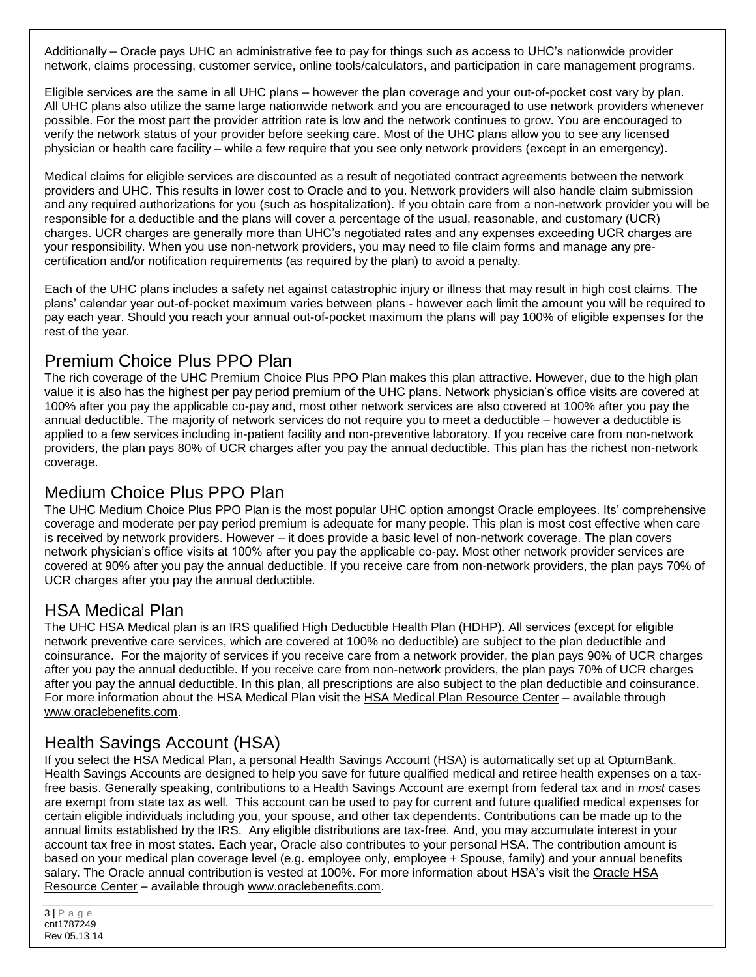Additionally – Oracle pays UHC an administrative fee to pay for things such as access to UHC's nationwide provider network, claims processing, customer service, online tools/calculators, and participation in care management programs.

Eligible services are the same in all UHC plans – however the plan coverage and your out-of-pocket cost vary by plan. All UHC plans also utilize the same large nationwide network and you are encouraged to use network providers whenever possible. For the most part the provider attrition rate is low and the network continues to grow. You are encouraged to verify the network status of your provider before seeking care. Most of the UHC plans allow you to see any licensed physician or health care facility – while a few require that you see only network providers (except in an emergency).

Medical claims for eligible services are discounted as a result of negotiated contract agreements between the network providers and UHC. This results in lower cost to Oracle and to you. Network providers will also handle claim submission and any required authorizations for you (such as hospitalization). If you obtain care from a non-network provider you will be responsible for a deductible and the plans will cover a percentage of the usual, reasonable, and customary (UCR) charges. UCR charges are generally more than UHC's negotiated rates and any expenses exceeding UCR charges are your responsibility. When you use non-network providers, you may need to file claim forms and manage any precertification and/or notification requirements (as required by the plan) to avoid a penalty.

Each of the UHC plans includes a safety net against catastrophic injury or illness that may result in high cost claims. The plans' calendar year out-of-pocket maximum varies between plans - however each limit the amount you will be required to pay each year. Should you reach your annual out-of-pocket maximum the plans will pay 100% of eligible expenses for the rest of the year.

# Premium Choice Plus PPO Plan

The rich coverage of the UHC Premium Choice Plus PPO Plan makes this plan attractive. However, due to the high plan value it is also has the highest per pay period premium of the UHC plans. Network physician's office visits are covered at 100% after you pay the applicable co-pay and, most other network services are also covered at 100% after you pay the annual deductible. The majority of network services do not require you to meet a deductible – however a deductible is applied to a few services including in-patient facility and non-preventive laboratory. If you receive care from non-network providers, the plan pays 80% of UCR charges after you pay the annual deductible. This plan has the richest non-network coverage.

# Medium Choice Plus PPO Plan

The UHC Medium Choice Plus PPO Plan is the most popular UHC option amongst Oracle employees. Its' comprehensive coverage and moderate per pay period premium is adequate for many people. This plan is most cost effective when care is received by network providers. However – it does provide a basic level of non-network coverage. The plan covers network physician's office visits at 100% after you pay the applicable co-pay. Most other network provider services are covered at 90% after you pay the annual deductible. If you receive care from non-network providers, the plan pays 70% of UCR charges after you pay the annual deductible.

# HSA Medical Plan

The UHC HSA Medical plan is an IRS qualified High Deductible Health Plan (HDHP). All services (except for eligible network preventive care services, which are covered at 100% no deductible) are subject to the plan deductible and coinsurance. For the majority of services if you receive care from a network provider, the plan pays 90% of UCR charges after you pay the annual deductible. If you receive care from non-network providers, the plan pays 70% of UCR charges after you pay the annual deductible. In this plan, all prescriptions are also subject to the plan deductible and coinsurance. For more information about the HSA Medical Plan visit the [HSA Medical Plan Resource Center](https://www.oraclebenefits.com/ess/custom/OracleHSAResourceCenter.wya?rkh=HSAResourceCenter.Header&rkc=HSAResourceCenter.Content) - available through [www.oraclebenefits.com.](http://www.oraclebenefits.com/)

# Health Savings Account (HSA)

If you select the HSA Medical Plan, a personal Health Savings Account (HSA) is automatically set up at OptumBank. Health Savings Accounts are designed to help you save for future qualified medical and retiree health expenses on a taxfree basis. Generally speaking, contributions to a Health Savings Account are exempt from federal tax and in *most* cases are exempt from state tax as well. This account can be used to pay for current and future qualified medical expenses for certain eligible individuals including you, your spouse, and other tax dependents. Contributions can be made up to the annual limits established by the IRS. Any eligible distributions are tax-free. And, you may accumulate interest in your account tax free in most states. Each year, Oracle also contributes to your personal HSA. The contribution amount is based on your medical plan coverage level (e.g. employee only, employee + Spouse, family) and your annual benefits salary. The Oracle annual contribution is vested at 100%. For more information about HSA's visit the [Oracle HSA](https://www.oraclebenefits.com/ess/custom/OracleHSAResourceCenter.wya?rkh=HSAResourceCenter.Header&rkc=HSAResourceCenter.Content)  [Resource Center](https://www.oraclebenefits.com/ess/custom/OracleHSAResourceCenter.wya?rkh=HSAResourceCenter.Header&rkc=HSAResourceCenter.Content) – available through [www.oraclebenefits.com.](http://www.oraclebenefits.com/)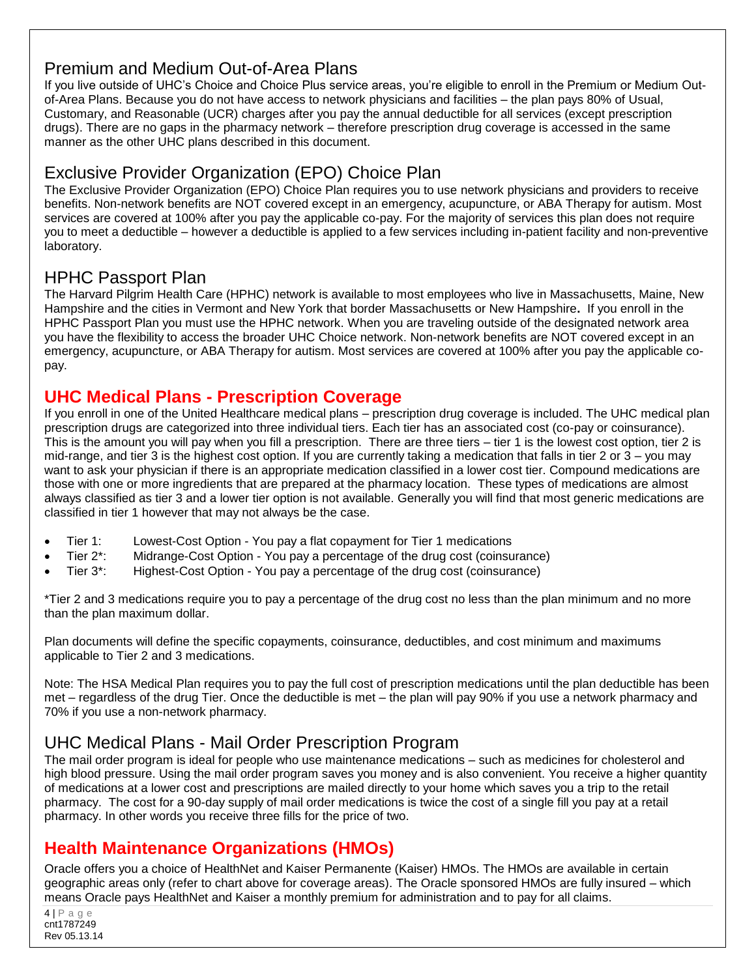# Premium and Medium Out-of-Area Plans

If you live outside of UHC's Choice and Choice Plus service areas, you're eligible to enroll in the Premium or Medium Outof-Area Plans. Because you do not have access to network physicians and facilities – the plan pays 80% of Usual, Customary, and Reasonable (UCR) charges after you pay the annual deductible for all services (except prescription drugs). There are no gaps in the pharmacy network – therefore prescription drug coverage is accessed in the same manner as the other UHC plans described in this document.

# Exclusive Provider Organization (EPO) Choice Plan

The Exclusive Provider Organization (EPO) Choice Plan requires you to use network physicians and providers to receive benefits. Non-network benefits are NOT covered except in an emergency, acupuncture, or ABA Therapy for autism. Most services are covered at 100% after you pay the applicable co-pay. For the majority of services this plan does not require you to meet a deductible – however a deductible is applied to a few services including in-patient facility and non-preventive laboratory.

# HPHC Passport Plan

The Harvard Pilgrim Health Care (HPHC) network is available to most employees who live in Massachusetts, Maine, New Hampshire and the cities in Vermont and New York that border Massachusetts or New Hampshire**.** If you enroll in the HPHC Passport Plan you must use the HPHC network. When you are traveling outside of the designated network area you have the flexibility to access the broader UHC Choice network. Non-network benefits are NOT covered except in an emergency, acupuncture, or ABA Therapy for autism. Most services are covered at 100% after you pay the applicable copay.

# <span id="page-4-0"></span>**UHC Medical Plans - Prescription Coverage**

If you enroll in one of the United Healthcare medical plans – prescription drug coverage is included. The UHC medical plan prescription drugs are categorized into three individual tiers. Each tier has an associated cost (co-pay or coinsurance). This is the amount you will pay when you fill a prescription. There are three tiers – tier 1 is the lowest cost option, tier 2 is mid-range, and tier 3 is the highest cost option. If you are currently taking a medication that falls in tier 2 or 3 – you may want to ask your physician if there is an appropriate medication classified in a lower cost tier. Compound medications are those with one or more ingredients that are prepared at the pharmacy location. These types of medications are almost always classified as tier 3 and a lower tier option is not available. Generally you will find that most generic medications are classified in tier 1 however that may not always be the case.

- Tier 1: Lowest-Cost Option You pay a flat copayment for Tier 1 medications
- Tier 2\*: Midrange-Cost Option You pay a percentage of the drug cost (coinsurance)
- Tier 3\*: Highest-Cost Option You pay a percentage of the drug cost (coinsurance)

\*Tier 2 and 3 medications require you to pay a percentage of the drug cost no less than the plan minimum and no more than the plan maximum dollar.

Plan documents will define the specific copayments, coinsurance, deductibles, and cost minimum and maximums applicable to Tier 2 and 3 medications.

Note: The HSA Medical Plan requires you to pay the full cost of prescription medications until the plan deductible has been met – regardless of the drug Tier. Once the deductible is met – the plan will pay 90% if you use a network pharmacy and 70% if you use a non-network pharmacy.

# UHC Medical Plans - Mail Order Prescription Program

The mail order program is ideal for people who use maintenance medications – such as medicines for cholesterol and high blood pressure. Using the mail order program saves you money and is also convenient. You receive a higher quantity of medications at a lower cost and prescriptions are mailed directly to your home which saves you a trip to the retail pharmacy. The cost for a 90-day supply of mail order medications is twice the cost of a single fill you pay at a retail pharmacy. In other words you receive three fills for the price of two.

# <span id="page-4-1"></span>**Health Maintenance Organizations (HMOs)**

Oracle offers you a choice of HealthNet and Kaiser Permanente (Kaiser) HMOs. The HMOs are available in certain geographic areas only (refer to chart above for coverage areas). The Oracle sponsored HMOs are fully insured – which means Oracle pays HealthNet and Kaiser a monthly premium for administration and to pay for all claims.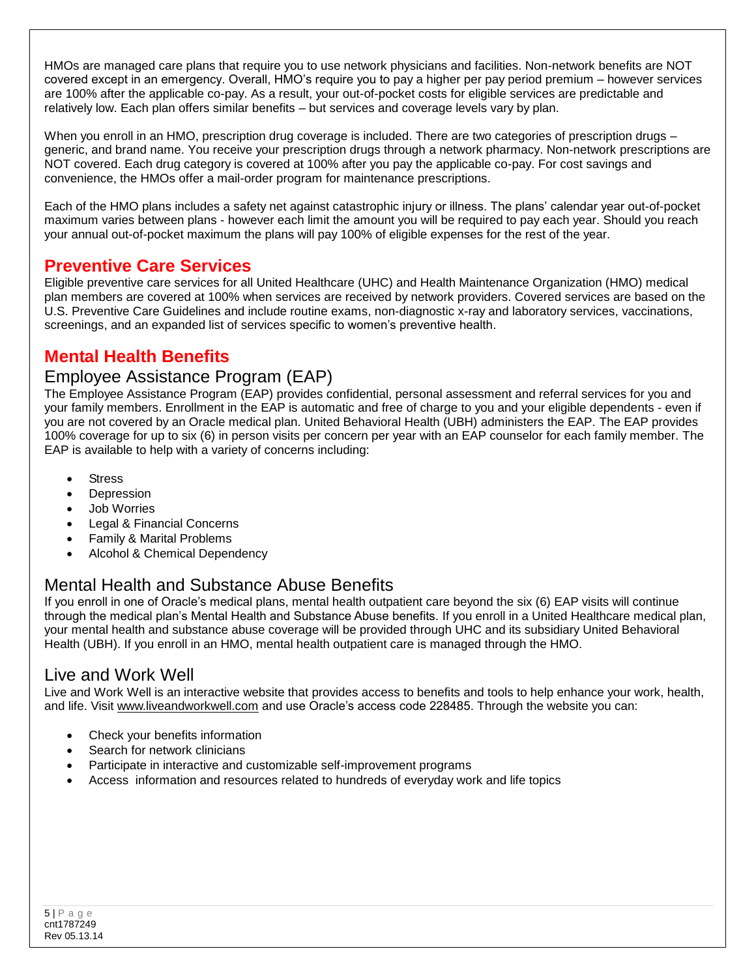HMOs are managed care plans that require you to use network physicians and facilities. Non-network benefits are NOT covered except in an emergency. Overall, HMO's require you to pay a higher per pay period premium – however services are 100% after the applicable co-pay. As a result, your out-of-pocket costs for eligible services are predictable and relatively low. Each plan offers similar benefits – but services and coverage levels vary by plan.

When you enroll in an HMO, prescription drug coverage is included. There are two categories of prescription drugs – generic, and brand name. You receive your prescription drugs through a network pharmacy. Non-network prescriptions are NOT covered. Each drug category is covered at 100% after you pay the applicable co-pay. For cost savings and convenience, the HMOs offer a mail-order program for maintenance prescriptions.

Each of the HMO plans includes a safety net against catastrophic injury or illness. The plans' calendar year out-of-pocket maximum varies between plans - however each limit the amount you will be required to pay each year. Should you reach your annual out-of-pocket maximum the plans will pay 100% of eligible expenses for the rest of the year.

# <span id="page-5-0"></span>**Preventive Care Services**

Eligible preventive care services for all United Healthcare (UHC) and Health Maintenance Organization (HMO) medical plan members are covered at 100% when services are received by network providers. Covered services are based on the U.S. Preventive Care Guidelines and include routine exams, non-diagnostic x-ray and laboratory services, vaccinations, screenings, and an expanded list of services specific to women's preventive health.

# <span id="page-5-1"></span>**Mental Health Benefits**

## Employee Assistance Program (EAP)

The Employee Assistance Program (EAP) provides confidential, personal assessment and referral services for you and your family members. Enrollment in the EAP is automatic and free of charge to you and your eligible dependents - even if you are not covered by an Oracle medical plan. United Behavioral Health (UBH) administers the EAP. The EAP provides 100% coverage for up to six (6) in person visits per concern per year with an EAP counselor for each family member. The EAP is available to help with a variety of concerns including:

- **Stress**
- Depression
- Job Worries
- Legal & Financial Concerns
- Family & Marital Problems
- Alcohol & Chemical Dependency

# Mental Health and Substance Abuse Benefits

If you enroll in one of Oracle's medical plans, mental health outpatient care beyond the six (6) EAP visits will continue through the medical plan's Mental Health and Substance Abuse benefits. If you enroll in a United Healthcare medical plan, your mental health and substance abuse coverage will be provided through UHC and its subsidiary United Behavioral Health (UBH). If you enroll in an HMO, mental health outpatient care is managed through the HMO.

# Live and Work Well

Live and Work Well is an interactive website that provides access to benefits and tools to help enhance your work, health, and life. Visit [www.liveandworkwell.com](http://www.liveandworkwell.com/) and use Oracle's access code 228485. Through the website you can:

- Check your benefits information
- Search for network clinicians
- Participate in interactive and customizable self-improvement programs
- Access information and resources related to hundreds of everyday work and life topics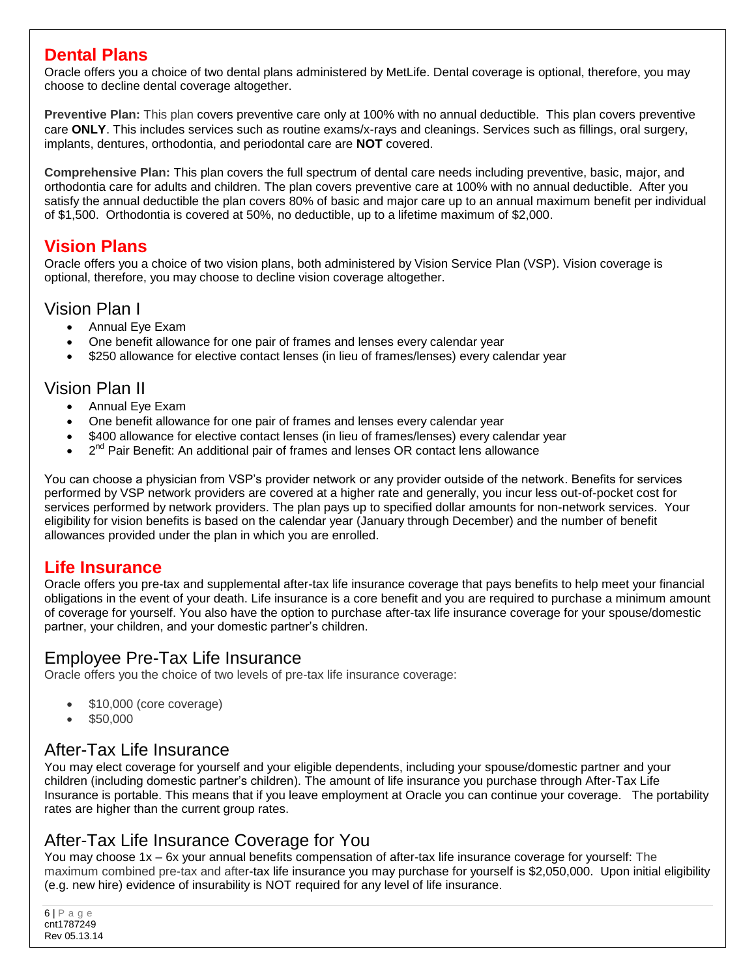## <span id="page-6-0"></span>**Dental Plans**

Oracle offers you a choice of two dental plans administered by MetLife. Dental coverage is optional, therefore, you may choose to decline dental coverage altogether.

**Preventive Plan:** This plan covers preventive care only at 100% with no annual deductible. This plan covers preventive care **ONLY**. This includes services such as routine exams/x-rays and cleanings. Services such as fillings, oral surgery, implants, dentures, orthodontia, and periodontal care are **NOT** covered.

**Comprehensive Plan:** This plan covers the full spectrum of dental care needs including preventive, basic, major, and orthodontia care for adults and children. The plan covers preventive care at 100% with no annual deductible. After you satisfy the annual deductible the plan covers 80% of basic and major care up to an annual maximum benefit per individual of \$1,500. Orthodontia is covered at 50%, no deductible, up to a lifetime maximum of \$2,000.

## <span id="page-6-1"></span>**Vision Plans**

Oracle offers you a choice of two vision plans, both administered by Vision Service Plan (VSP). Vision coverage is optional, therefore, you may choose to decline vision coverage altogether.

#### Vision Plan I

- Annual Eye Exam
- One benefit allowance for one pair of frames and lenses every calendar year
- \$250 allowance for elective contact lenses (in lieu of frames/lenses) every calendar year

## Vision Plan II

- Annual Eye Exam
- One benefit allowance for one pair of frames and lenses every calendar year
- \$400 allowance for elective contact lenses (in lieu of frames/lenses) every calendar year
- 2<sup>nd</sup> Pair Benefit: An additional pair of frames and lenses OR contact lens allowance

You can choose a physician from VSP's provider network or any provider outside of the network. Benefits for services performed by VSP network providers are covered at a higher rate and generally, you incur less out-of-pocket cost for services performed by network providers. The plan pays up to specified dollar amounts for non-network services. Your eligibility for vision benefits is based on the calendar year (January through December) and the number of benefit allowances provided under the plan in which you are enrolled.

## <span id="page-6-2"></span>**Life Insurance**

Oracle offers you pre-tax and supplemental after-tax life insurance coverage that pays benefits to help meet your financial obligations in the event of your death. Life insurance is a core benefit and you are required to purchase a minimum amount of coverage for yourself. You also have the option to purchase after-tax life insurance coverage for your spouse/domestic partner, your children, and your domestic partner's children.

## Employee Pre-Tax Life Insurance

Oracle offers you the choice of two levels of pre-tax life insurance coverage:

- \$10,000 (core coverage)
- \$50,000

#### After-Tax Life Insurance

You may elect coverage for yourself and your eligible dependents, including your spouse/domestic partner and your children (including domestic partner's children). The amount of life insurance you purchase through After-Tax Life Insurance is portable. This means that if you leave employment at Oracle you can continue your coverage. The portability rates are higher than the current group rates.

## After-Tax Life Insurance Coverage for You

You may choose 1x – 6x your annual benefits compensation of after-tax life insurance coverage for yourself: The maximum combined pre-tax and after-tax life insurance you may purchase for yourself is \$2,050,000. Upon initial eligibility (e.g. new hire) evidence of insurability is NOT required for any level of life insurance.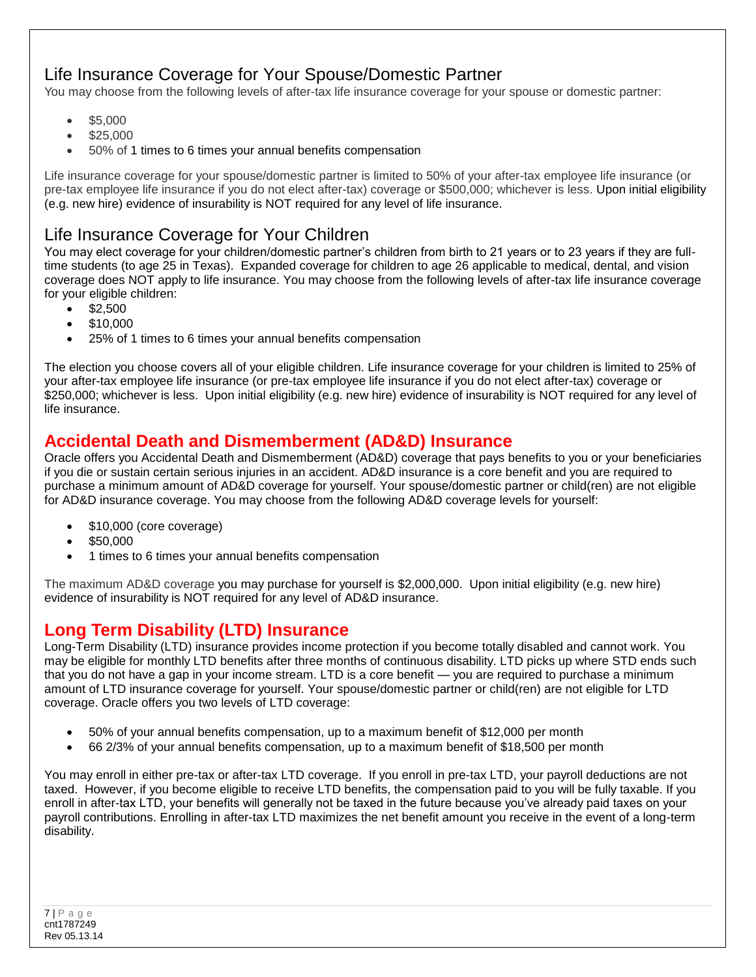# Life Insurance Coverage for Your Spouse/Domestic Partner

You may choose from the following levels of after-tax life insurance coverage for your spouse or domestic partner:

- \$5,000
- \$25,000
- 50% of 1 times to 6 times your annual benefits compensation

Life insurance coverage for your spouse/domestic partner is limited to 50% of your after-tax employee life insurance (or pre-tax employee life insurance if you do not elect after-tax) coverage or \$500,000; whichever is less. Upon initial eligibility (e.g. new hire) evidence of insurability is NOT required for any level of life insurance.

# Life Insurance Coverage for Your Children

You may elect coverage for your children/domestic partner's children from birth to 21 years or to 23 years if they are fulltime students (to age 25 in Texas). Expanded coverage for children to age 26 applicable to medical, dental, and vision coverage does NOT apply to life insurance. You may choose from the following levels of after-tax life insurance coverage for your eligible children:

- $\bullet$  \$2,500
- \$10,000
- 25% of 1 times to 6 times your annual benefits compensation

The election you choose covers all of your eligible children. Life insurance coverage for your children is limited to 25% of your after-tax employee life insurance (or pre-tax employee life insurance if you do not elect after-tax) coverage or \$250,000; whichever is less. Upon initial eligibility (e.g. new hire) evidence of insurability is NOT required for any level of life insurance.

## <span id="page-7-0"></span>**Accidental Death and Dismemberment (AD&D) Insurance**

Oracle offers you Accidental Death and Dismemberment (AD&D) coverage that pays benefits to you or your beneficiaries if you die or sustain certain serious injuries in an accident. AD&D insurance is a core benefit and you are required to purchase a minimum amount of AD&D coverage for yourself. Your spouse/domestic partner or child(ren) are not eligible for AD&D insurance coverage. You may choose from the following AD&D coverage levels for yourself:

- \$10,000 (core coverage)
- \$50,000
- 1 times to 6 times your annual benefits compensation

The maximum AD&D coverage you may purchase for yourself is \$2,000,000. Upon initial eligibility (e.g. new hire) evidence of insurability is NOT required for any level of AD&D insurance.

# <span id="page-7-1"></span>**Long Term Disability (LTD) Insurance**

Long-Term Disability (LTD) insurance provides income protection if you become totally disabled and cannot work. You may be eligible for monthly LTD benefits after three months of continuous disability. LTD picks up where STD ends such that you do not have a gap in your income stream. LTD is a core benefit — you are required to purchase a minimum amount of LTD insurance coverage for yourself. Your spouse/domestic partner or child(ren) are not eligible for LTD coverage. Oracle offers you two levels of LTD coverage:

- 50% of your annual benefits compensation, up to a maximum benefit of \$12,000 per month
- 66 2/3% of your annual benefits compensation, up to a maximum benefit of \$18,500 per month

You may enroll in either pre-tax or after-tax LTD coverage. If you enroll in pre-tax LTD, your payroll deductions are not taxed. However, if you become eligible to receive LTD benefits, the compensation paid to you will be fully taxable. If you enroll in after-tax LTD, your benefits will generally not be taxed in the future because you've already paid taxes on your payroll contributions. Enrolling in after-tax LTD maximizes the net benefit amount you receive in the event of a long-term disability.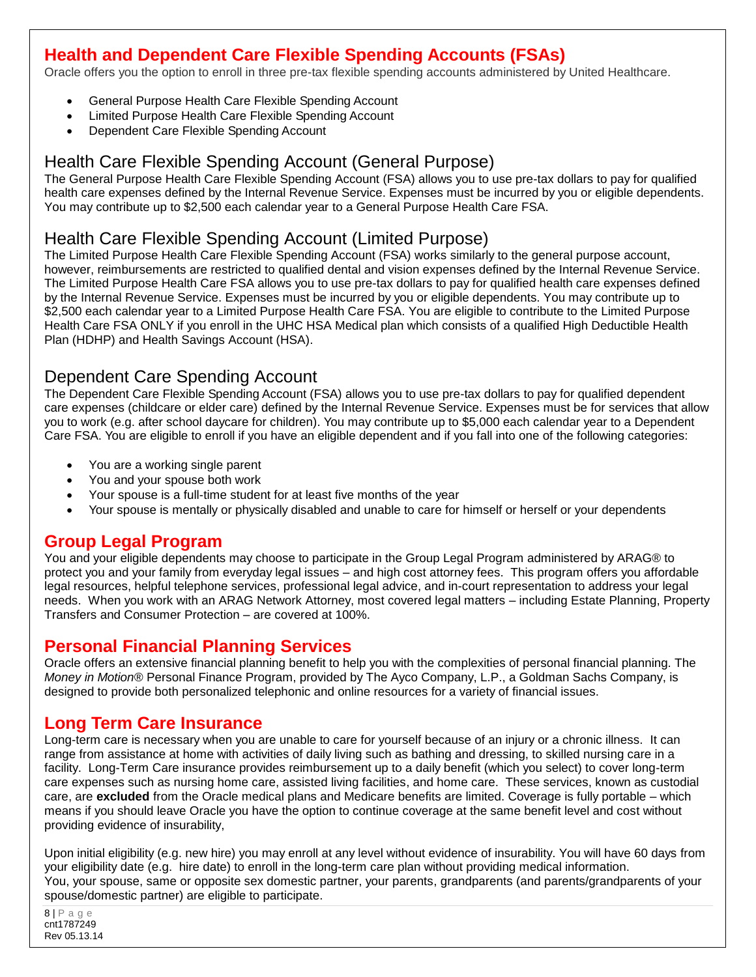# <span id="page-8-0"></span>**Health and Dependent Care Flexible Spending Accounts (FSAs)**

Oracle offers you the option to enroll in three pre-tax flexible spending accounts administered by United Healthcare.

- General Purpose Health Care Flexible Spending Account
- Limited Purpose Health Care Flexible Spending Account
- Dependent Care Flexible Spending Account

## Health Care Flexible Spending Account (General Purpose)

The General Purpose Health Care Flexible Spending Account (FSA) allows you to use pre-tax dollars to pay for qualified health care expenses defined by the Internal Revenue Service. Expenses must be incurred by you or eligible dependents. You may contribute up to \$2,500 each calendar year to a General Purpose Health Care FSA.

# Health Care Flexible Spending Account (Limited Purpose)

The Limited Purpose Health Care Flexible Spending Account (FSA) works similarly to the general purpose account, however, reimbursements are restricted to qualified dental and vision expenses defined by the Internal Revenue Service. The Limited Purpose Health Care FSA allows you to use pre-tax dollars to pay for qualified health care expenses defined by the Internal Revenue Service. Expenses must be incurred by you or eligible dependents. You may contribute up to \$2,500 each calendar year to a Limited Purpose Health Care FSA. You are eligible to contribute to the Limited Purpose Health Care FSA ONLY if you enroll in the UHC HSA Medical plan which consists of a qualified High Deductible Health Plan (HDHP) and Health Savings Account (HSA).

## Dependent Care Spending Account

The Dependent Care Flexible Spending Account (FSA) allows you to use pre-tax dollars to pay for qualified dependent care expenses (childcare or elder care) defined by the Internal Revenue Service. Expenses must be for services that allow you to work (e.g. after school daycare for children). You may contribute up to \$5,000 each calendar year to a Dependent Care FSA. You are eligible to enroll if you have an eligible dependent and if you fall into one of the following categories:

- You are a working single parent
- You and your spouse both work
- Your spouse is a full-time student for at least five months of the year
- Your spouse is mentally or physically disabled and unable to care for himself or herself or your dependents

## <span id="page-8-1"></span>**Group Legal Program**

You and your eligible dependents may choose to participate in the Group Legal Program administered by ARAG® to protect you and your family from everyday legal issues – and high cost attorney fees. This program offers you affordable legal resources, helpful telephone services, professional legal advice, and in-court representation to address your legal needs. When you work with an ARAG Network Attorney, most covered legal matters – including Estate Planning, Property Transfers and Consumer Protection – are covered at 100%.

## <span id="page-8-2"></span>**Personal Financial Planning Services**

Oracle offers an extensive financial planning benefit to help you with the complexities of personal financial planning. The *Money in Motion®* Personal Finance Program, provided by The Ayco Company, L.P., a Goldman Sachs Company, is designed to provide both personalized telephonic and online resources for a variety of financial issues.

## <span id="page-8-3"></span>**Long Term Care Insurance**

Long-term care is necessary when you are unable to care for yourself because of an injury or a chronic illness. It can range from assistance at home with activities of daily living such as bathing and dressing, to skilled nursing care in a facility. Long-Term Care insurance provides reimbursement up to a daily benefit (which you select) to cover long-term care expenses such as nursing home care, assisted living facilities, and home care. These services, known as custodial care, are **excluded** from the Oracle medical plans and Medicare benefits are limited. Coverage is fully portable – which means if you should leave Oracle you have the option to continue coverage at the same benefit level and cost without providing evidence of insurability,

Upon initial eligibility (e.g. new hire) you may enroll at any level without evidence of insurability. You will have 60 days from your eligibility date (e.g. hire date) to enroll in the long-term care plan without providing medical information. You, your spouse, same or opposite sex domestic partner, your parents, grandparents (and parents/grandparents of your spouse/domestic partner) are eligible to participate.

8 | P a g e cnt1787249 Rev 05.13.14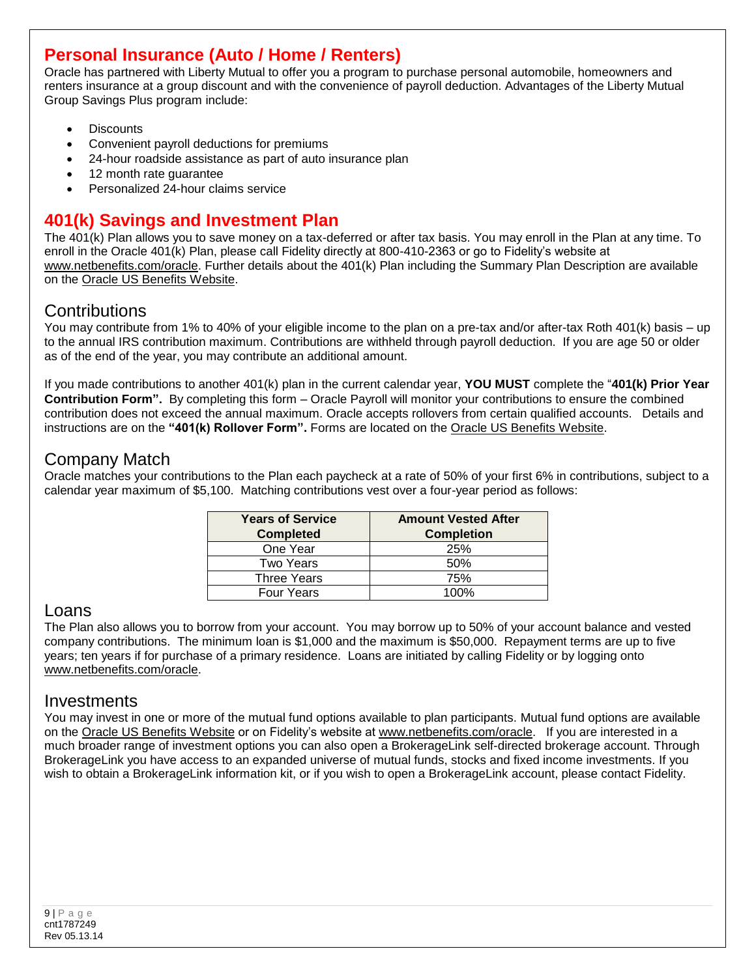# <span id="page-9-0"></span>**Personal Insurance (Auto / Home / Renters)**

Oracle has partnered with Liberty Mutual to offer you a program to purchase personal automobile, homeowners and renters insurance at a group discount and with the convenience of payroll deduction. Advantages of the Liberty Mutual Group Savings Plus program include:

- **Discounts**
- Convenient payroll deductions for premiums
- 24-hour roadside assistance as part of auto insurance plan
- 12 month rate guarantee
- Personalized 24-hour claims service

# <span id="page-9-1"></span>**401(k) Savings and Investment Plan**

The 401(k) Plan allows you to save money on a tax-deferred or after tax basis. You may enroll in the Plan at any time. To enroll in the Oracle 401(k) Plan, please call Fidelity directly at 800-410-2363 or go to Fidelity's website at [www.netbenefits.com/oracle.](http://www.netbenefits.com/oracle) Further details about the 401(k) Plan including the Summary Plan Description are available on the [Oracle US Benefits Website.](http://my.oracle.com/site/hr/RegionalSites/U.S./usbenefits/401k/index.htm)

# **Contributions**

You may contribute from 1% to 40% of your eligible income to the plan on a pre-tax and/or after-tax Roth 401(k) basis – up to the annual IRS contribution maximum. Contributions are withheld through payroll deduction. If you are age 50 or older as of the end of the year, you may contribute an additional amount.

If you made contributions to another 401(k) plan in the current calendar year, **YOU MUST** complete the "**401(k) Prior Year Contribution Form".** By completing this form – Oracle Payroll will monitor your contributions to ensure the combined contribution does not exceed the annual maximum. Oracle accepts rollovers from certain qualified accounts. Details and instructions are on the **"401(k) Rollover Form".** Forms are located on the [Oracle US Benefits Website.](http://my.oracle.com/site/hr/RegionalSites/U.S./usbenefits/forms/index.html)

# Company Match

Oracle matches your contributions to the Plan each paycheck at a rate of 50% of your first 6% in contributions, subject to a calendar year maximum of \$5,100. Matching contributions vest over a four-year period as follows:

| <b>Years of Service</b><br><b>Completed</b> | <b>Amount Vested After</b><br><b>Completion</b> |
|---------------------------------------------|-------------------------------------------------|
| One Year                                    | 25%                                             |
| Two Years                                   | 50%                                             |
| <b>Three Years</b>                          | 75%                                             |
| <b>Four Years</b>                           | 1በበ%                                            |

## Loans

The Plan also allows you to borrow from your account. You may borrow up to 50% of your account balance and vested company contributions. The minimum loan is \$1,000 and the maximum is \$50,000. Repayment terms are up to five years; ten years if for purchase of a primary residence. Loans are initiated by calling Fidelity or by logging onto [www.netbenefits.com/oracle.](http://www.netbenefits.com/oracle)

#### Investments

You may invest in one or more of the mutual fund options available to plan participants. Mutual fund options are available on the [Oracle US Benefits Website](http://my.oracle.com/site/hr/RegionalSites/U.S./usbenefits/401k/index.htm) or on Fidelity's website at [www.netbenefits.com/oracle.](http://www.netbenefits.com/oracle) If you are interested in a much broader range of investment options you can also open a BrokerageLink self-directed brokerage account. Through BrokerageLink you have access to an expanded universe of mutual funds, stocks and fixed income investments. If you wish to obtain a BrokerageLink information kit, or if you wish to open a BrokerageLink account, please contact Fidelity.